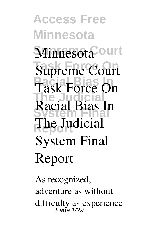**Access Free Minnesota** Minnesota<sup>Court</sup> **Supreme Court Racial Bias In The Judicial System Final Racial Bias In Report The Judicial Task Force On System Final Report**

As recognized, adventure as without difficulty as experience Page 1/29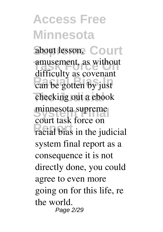about lesson, Court amusement, as without **Racial Bibs Inc.**<br>can be gotten by just checking out a ebook **System Final minnesota supreme Report racial bias in the judicial** difficulty as covenant **court task force on system final report** as a consequence it is not directly done, you could agree to even more going on for this life, re the world. Page 2/29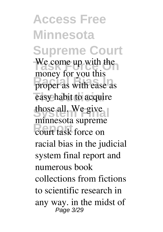**Access Free Minnesota Supreme Court** We come up with the **Racial Bias Inches** easy habit to acquire those all. We give **Report** court task force on money for you this minnesota supreme racial bias in the judicial system final report and numerous book collections from fictions to scientific research in any way. in the midst of Page 3/29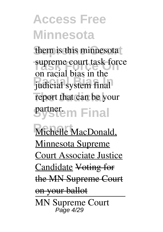them is this minnesota **Supreme court task force Racial Bias In** judicial system final report that can be your *System Final* on racial bias in the

Michelle MacDonald, Minnesota Supreme Court Associate Justice Candidate Voting for the MN Supreme Court on your ballot MN Supreme Court Page 4/29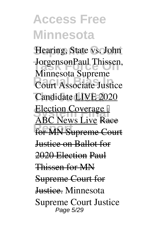Hearing, State vs. John **Task Force On** Jorgenson**Paul Thissen, Court Associate Justice Candidate** LIVE 2020 **Election Coverage Report** for MN Supreme Court **Minnesota Supreme** ABC News Live Race Justice on Ballot for 2020 Election Paul Thissen for MN Supreme Court for Justice. *Minnesota Supreme Court Justice* Page 5/29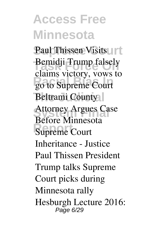**Paul Thissen VisitsUrt Bemidji Trump falsely Racial Bias In go to Supreme Court Beltrami County** Attorney Argues Case **Report Supreme Court claims victory, vows to Before Minnesota** *Inheritance - Justice Paul Thissen President Trump talks Supreme Court picks during Minnesota rally* Hesburgh Lecture 2016: Page 6/29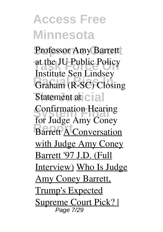Professor Amy Barrett at the JU Public Policy **Graham (R-SC)** Closing **Statement at cial Confirmation Hearing Barrett A** Conversation Institute Sen Lindsey for Judge Amy Coney with Judge Amy Coney Barrett '97 J.D. (Full Interview) Who Is Judge Amy Coney Barrett, Trump's Expected Supreme Court Pick? | Page 7/29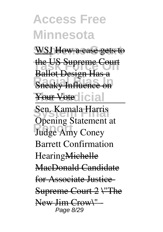**WSJ** How a case gets to

**The US Supreme Court Ranci Bungal Thas a** Ballot Design Has a

Your Votedicial

**System Final** Sen. Kamala Harris **Report** Judge Amy Coney Opening Statement at Barrett Confirmation HearingMichelle MacDonald Candidate for Associate Justice-Supreme Court 2 \"The New Jim Crow\" Page 8/29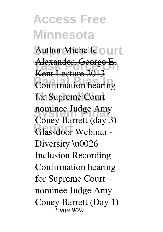Author Michelle ourt **Alexander, George E.**<br>Kant Letture 2012 **Racial Bias In Confirmation hearing for Supreme Court nominee Judge Amy** Glassdoor Webinar -Kent Lecture 2013 **Coney Barrett (day 3)** Diversity \u0026 Inclusion Recording *Confirmation hearing for Supreme Court nominee Judge Amy Coney Barrett (Day 1)* Page 9/29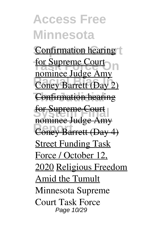**Confirmation hearing** for Supreme Court **Coney Barrett (Day 2) Confirmation hearing** for Supreme Court **Report Coney Barrett (Day 4)** nominee Judge Amy nominee Judge Amy **Street Funding Task** Force / October 12, 2020 Religious Freedom Amid the Tumult **Minnesota Supreme Court Task Force** Page 10/29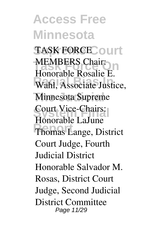**Access Free Minnesota** TASK FORCE Court **MEMBERS Chair: Ranchester Rosante Li**<br> **Wahl, Associate Justice, Minnesota Supreme Court Vice-Chairs: Report** Thomas Lange, District Honorable Rosalie E. Honorable LaJune Court Judge, Fourth Judicial District Honorable Salvador M. Rosas, District Court Judge, Second Judicial District Committee Page 11/29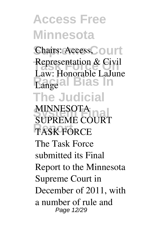Chairs: Access, Ourt **Representation & Civil**<br>Law Hanamble Laby **Racial Bias In** Lange **The Judicial** Law: Honorable LaJune

**MINNESOTA Report TASK FORCE SUPREME COURT** The Task Force submitted its Final Report to the Minnesota Supreme Court in December of 2011, with a number of rule and Page 12/29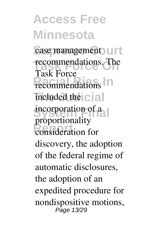case management UIT recommendations. The recommendations<sup>1</sup> included the cial incorporation of a **Report** consideration for Task Force proportionality discovery, the adoption of the federal regime of automatic disclosures, the adoption of an expedited procedure for nondispositive motions, Page 13/29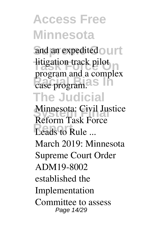and an expedited ourt **Task Force Only 1.5 Racial Bias In** case program. **The Judicial** program and a complex

**Minnesota: Civil Justice Report Leads to Rule ... Reform Task Force** March 2019: Minnesota Supreme Court Order ADM19-8002 established the Implementation Committee to assess Page 14/29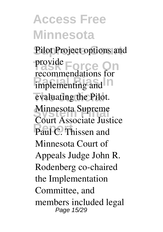Pilot Project options and **Task Force On** provide implementing and evaluating the Pilot. **Minnesota Supreme** Paul C. Thissen and recommendations for Court Associate Justice Minnesota Court of Appeals Judge John R. Rodenberg co-chaired the Implementation Committee, and members included legal Page 15/29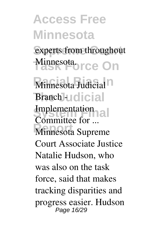experts from throughout Minnesota.<br> **Task Force On** 

**Racial Bias In Minnesota Judicial The Judicial Branch - Implementation Minnesota Supreme Committee for ...** Court Associate Justice Natalie Hudson, who was also on the task force, said that makes tracking disparities and progress easier. Hudson Page 16/29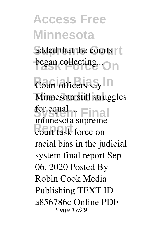added that the courts **began collecting...**On

**Court officers say Minnesota still struggles System Final for equal ... Report** court task force on minnesota supreme racial bias in the judicial system final report Sep 06, 2020 Posted By Robin Cook Media Publishing TEXT ID a856786c Online PDF Page 17/29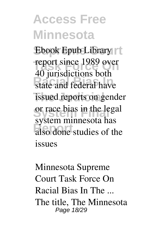Ebook Epub Library **The Force 1989 over**<br>the indication of the 1989 over **Racial Bias Indiana** issued reports on gender or race bias in the legal **Report** also done studies of the 40 jurisdictions both system minnesota has issues

**Minnesota Supreme Court Task Force On Racial Bias In The ...** The title, The Minnesota Page 18/29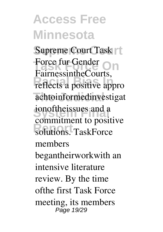**Supreme Court** Supreme Court Task Force fur Gender<br>
Formes in the Gauge reflects a positive appro achtoinformedinvestigat ionoftheissues and a **Report**<br>
solutions. TaskForce FairnessintheCourts, commitment to positive members begantheirworkwith an intensive literature review. By the time ofthe first Task Force meeting, its members Page 19/29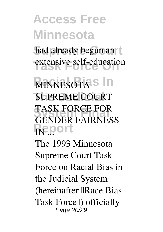had already begun an t extensive self-education

**MINNESOTAS** In **SUPREME COURT TASK FORCE FOR Report IN ... GENDER FAIRNESS**

The 1993 Minnesota Supreme Court Task Force on Racial Bias in the Judicial System (hereinafter **IRace Bias** Task Forcell) officially Page 20/29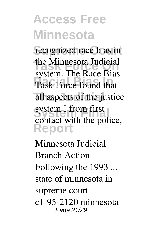recognized race bias in **The Minnesota Judicial Racial Bias In** Task Force found that all aspects of the justice system <sup>[]</sup> from first **Report** system. The Race Bias contact with the police,

**Minnesota Judicial Branch Action Following the 1993 ...** state of minnesota in supreme court c1-95-2120 minnesota Page 21/29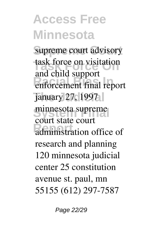**Supreme Court** supreme court advisory **Task Force On** task force on visitation **Racial Bias In** enforcement final report january 27, 1997 **System Final** minnesota supreme **Report** state court and child support court state court research and planning 120 minnesota judicial center 25 constitution avenue st. paul, mn 55155 (612) 297-7587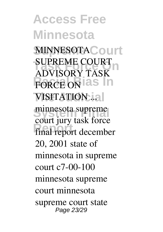**Access Free Minnesota MINNESOTACourt SUPREME COURT FORCE ON AS VISITATION ...** minnesota supreme **Report** final report december **ADVISORY TASK** court jury task force 20, 2001 state of minnesota in supreme court c7-00-100 minnesota supreme court minnesota supreme court state Page 23/29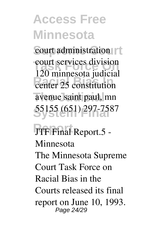court administration **Task Force Court services division Racial Bias In** center 25 constitution avenue saint paul, mn **System Final** 55155 (651) 297-7587 120 minnesota judicial

**Report JTF Final Report.5 - Minnesota** The Minnesota Supreme Court Task Force on Racial Bias in the Courts released its final report on June 10, 1993. Page 24/29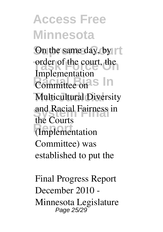On the same day, by order of the court, the **Ranchelle Committee on S** In **Multicultural Diversity System Final** and Racial Fairness in **Report** (Implementation Implementation the Courts Committee) was established to put the

**Final Progress Report December 2010 - Minnesota Legislature** Page 25/29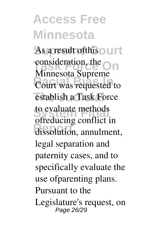As a result of this our t consideration, the **On Ramingson Bapterne** establish a Task Force to evaluate methods dissolution, annulment, Minnesota Supreme ofreducing conflict in legal separation and paternity cases, and to specifically evaluate the use ofparenting plans. Pursuant to the Legislature's request, on Page 26/29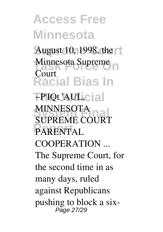**Access Free Minnesota** August 10, 1998, the **Minnesota Supreme Racial Bias In The Judicial ~P'IQt 'AUL, MINNESOTA**<br>SUPPEME COUPT **Report PARENTAL Court MINNESOTA SUPREME COURT COOPERATION ...** The Supreme Court, for the second time in as many days, ruled against Republicans pushing to block a six-Page 27/29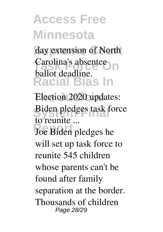day extension of North Carolina's absentee **Racial Bias In** ballot deadline.

Election 2020 updates: **Biden pledges task force to reunite ...**

**Report** Joe Biden pledges he will set up task force to reunite 545 children whose parents can't be found after family separation at the border. Thousands of children Page 28/29